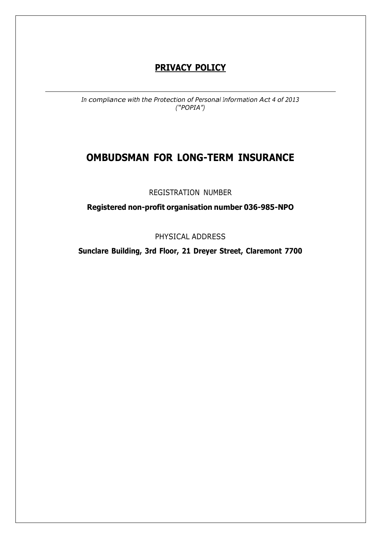# **PRIVACY POLICY**

*In compliance with the Protection of Personal Information Act 4 of 2013 ("POPIA")*

# **OMBUDSMAN FOR LONG-TERM INSURANCE**

REGISTRATION NUMBER

**Registered non-profit organisation number 036-985-NPO**

PHYSICAL ADDRESS

**Sunclare Building, 3rd Floor, 21 Dreyer Street, Claremont 7700**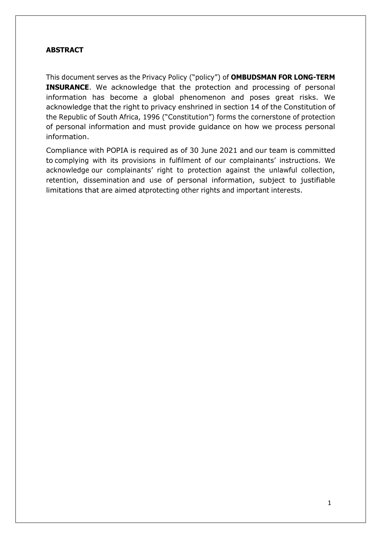### **ABSTRACT**

This document serves as the Privacy Policy ("policy") of **OMBUDSMAN FOR LONG-TERM INSURANCE.** We acknowledge that the protection and processing of personal information has become a global phenomenon and poses great risks. We acknowledge that the right to privacy enshrined in section 14 of the Constitution of the Republic of South Africa, 1996 ("Constitution") forms the cornerstone of protection of personal information and must provide guidance on how we process personal information.

Compliance with POPIA is required as of 30 June 2021 and our team is committed to complying with its provisions in fulfilment of our complainants' instructions. We acknowledge our complainants' right to protection against the unlawful collection, retention, dissemination and use of personal information, subject to justifiable limitations that are aimed atprotecting other rights and important interests.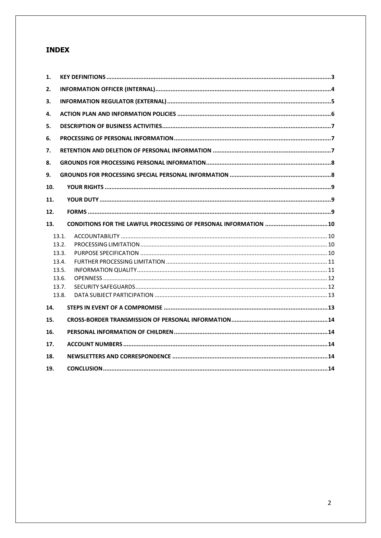# **INDEX**

| 1.  |                |  |
|-----|----------------|--|
| 2.  |                |  |
| 3.  |                |  |
| 4.  |                |  |
| 5.  |                |  |
| 6.  |                |  |
| 7.  |                |  |
|     |                |  |
| 8.  |                |  |
| 9.  |                |  |
| 10. |                |  |
| 11. |                |  |
| 12. |                |  |
| 13. |                |  |
|     |                |  |
|     | 13.1.<br>13.2. |  |
|     | 13.3.          |  |
|     | 13.4.          |  |
|     | 13.5.          |  |
|     | 13.6.          |  |
|     | 13.7.          |  |
|     | 13.8.          |  |
| 14. |                |  |
| 15. |                |  |
| 16. |                |  |
| 17. |                |  |
| 18. |                |  |
| 19. |                |  |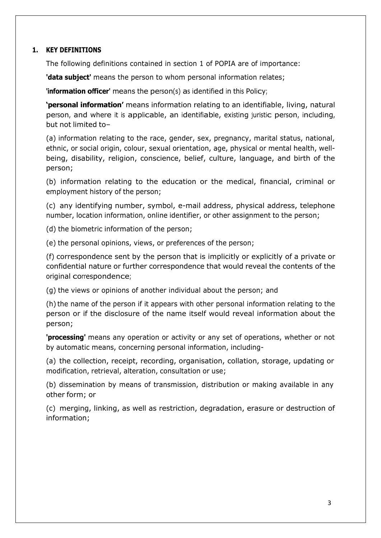### <span id="page-3-0"></span>**1. KEY DEFINITIONS**

The following definitions contained in section 1 of POPIA are of importance:

**'data subject'** means the person to whom personal information relates;

**'information officer'** means the person(s) as identified in this Policy;

**'personal information'** means information relating to an identifiable, living, natural person, and where it is applicable, an identifiable, existing juristic person, including, but not limited to–

(a) information relating to the race, gender, sex, pregnancy, marital status, national, ethnic, or social origin, colour, sexual orientation, age, physical or mental health, wellbeing, disability, religion, conscience, belief, culture, language, and birth of the person;

(b) information relating to the education or the medical, financial, criminal or employment history of the person;

(c) any identifying number, symbol, e-mail address, physical address, telephone number, location information, online identifier, or other assignment to the person;

(d) the biometric information of the person;

(e) the personal opinions, views, or preferences of the person;

(f) correspondence sent by the person that is implicitly or explicitly of a private or confidential nature or further correspondence that would reveal the contents of the original correspondence;

(g) the views or opinions of another individual about the person; and

(h) the name of the person if it appears with other personal information relating to the person or if the disclosure of the name itself would reveal information about the person;

**'processing'** means any operation or activity or any set of operations, whether or not by automatic means, concerning personal information, including-

(a) the collection, receipt, recording, organisation, collation, storage, updating or modification, retrieval, alteration, consultation or use;

(b) dissemination by means of transmission, distribution or making available in any other form; or

(c) merging, linking, as well as restriction, degradation, erasure or destruction of information;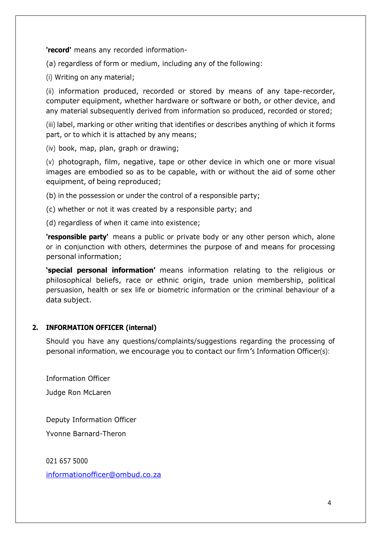**'record'** means any recorded information-

(a) regardless of form or medium, including any of the following:

(i) Writing on any material;

(ii) information produced, recorded or stored by means of any tape-recorder, computer equipment, whether hardware or software or both, or other device, and any material subsequently derived from information so produced, recorded or stored;

(iii) label, marking or other writing that identifies or describes anything of which it forms part, or to which it is attached by any means;

(iv) book, map, plan, graph or drawing;

(v) photograph, film, negative, tape or other device in which one or more visual images are embodied so as to be capable, with or without the aid of some other equipment, of being reproduced;

(b) in the possession or under the control of a responsible party;

(c) whether or not it was created by a responsible party; and

(d) regardless of when it came into existence;

**'responsible party'** means a public or private body or any other person which, alone or in conjunction with others, determines the purpose of and means for processing personal information;

**'special personal information'** means information relating to the religious or philosophical beliefs, race or ethnic origin, trade union membership, political persuasion, health or sex life or biometric information or the criminal behaviour of a data subject.

#### <span id="page-4-0"></span>**2. INFORMATION OFFICER (internal)**

Should you have any questions/complaints/suggestions regarding the processing of personal information, we encourage you to contact our firm'<sup>s</sup> Information Officer(s):

Information Officer Judge Ron McLaren

Deputy Information Officer Yvonne Barnard-Theron

021 657 5000 [informationofficer@ombud.co.za](mailto:informationofficer@ombud.co.za)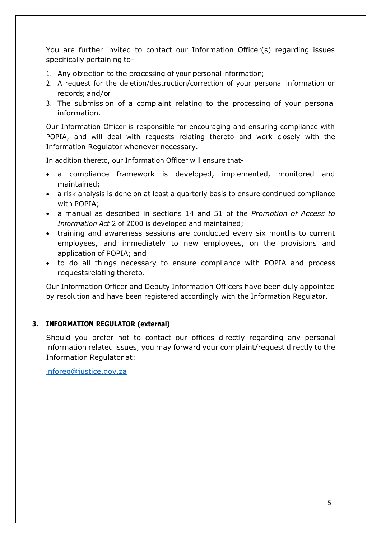You are further invited to contact our Information Officer(s) regarding issues specifically pertaining to-

- 1. Any objection to the processing of your personal information;
- 2. A request for the deletion/destruction/correction of your personal information or records; and/or
- 3. The submission of a complaint relating to the processing of your personal information.

Our Information Officer is responsible for encouraging and ensuring compliance with POPIA, and will deal with requests relating thereto and work closely with the Information Regulator whenever necessary.

In addition thereto, our Information Officer will ensure that-

- a compliance framework is developed, implemented, monitored and maintained;
- a risk analysis is done on at least a quarterly basis to ensure continued compliance with POPIA;
- a manual as described in sections 14 and 51 of the *Promotion of Access to Information Act* 2 of 2000 is developed and maintained;
- training and awareness sessions are conducted every six months to current employees, and immediately to new employees, on the provisions and application of POPIA; and
- to do all things necessary to ensure compliance with POPIA and process requestsrelating thereto.

Our Information Officer and Deputy Information Officers have been duly appointed by resolution and have been registered accordingly with the Information Regulator.

### <span id="page-5-0"></span>**3. INFORMATION REGULATOR (external)**

Should you prefer not to contact our offices directly regarding any personal information related issues, you may forward your complaint/request directly to the Information Regulator at:

[inforeg@justice.gov.za](mailto:inforeg@justice.gov.za)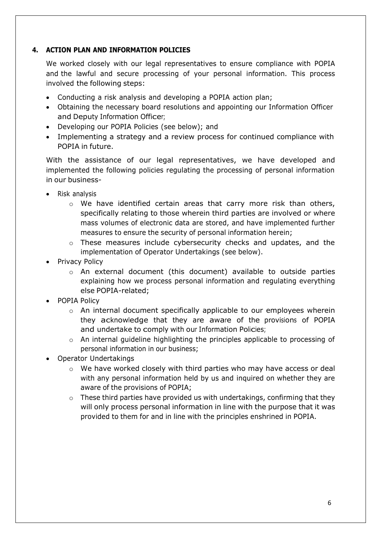#### <span id="page-6-0"></span>**4. ACTION PLAN AND INFORMATION POLICIES**

We worked closely with our legal representatives to ensure compliance with POPIA and the lawful and secure processing of your personal information. This process involved the following steps:

- Conducting a risk analysis and developing a POPIA action plan;
- Obtaining the necessary board resolutions and appointing our Information Officer and Deputy Information Officer;
- Developing our POPIA Policies (see below); and
- Implementing a strategy and a review process for continued compliance with POPIA in future.

With the assistance of our legal representatives, we have developed and implemented the following policies regulating the processing of personal information in our business-

- Risk analysis
	- o We have identified certain areas that carry more risk than others, specifically relating to those wherein third parties are involved or where mass volumes of electronic data are stored, and have implemented further measures to ensure the security of personal information herein;
	- o These measures include cybersecurity checks and updates, and the implementation of Operator Undertakings (see below).
- Privacy Policy
	- o An external document (this document) available to outside parties explaining how we process personal information and regulating everything else POPIA-related;
- POPIA Policy
	- o An internal document specifically applicable to our employees wherein they acknowledge that they are aware of the provisions of POPIA and undertake to comply with our Information Policies;
	- o An internal guideline highlighting the principles applicable to processing of personal information in our business;
- Operator Undertakings
	- o We have worked closely with third parties who may have access or deal with any personal information held by us and inquired on whether they are aware of the provisions of POPIA;
	- $\circ$  These third parties have provided us with undertakings, confirming that they will only process personal information in line with the purpose that it was provided to them for and in line with the principles enshrined in POPIA.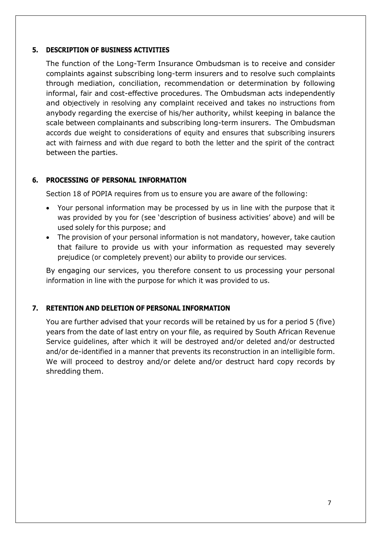#### <span id="page-7-0"></span>**5. DESCRIPTION OF BUSINESS ACTIVITIES**

The function of the Long-Term Insurance Ombudsman is to receive and consider complaints against subscribing long-term insurers and to resolve such complaints through mediation, conciliation, recommendation or determination by following informal, fair and cost-effective procedures. The Ombudsman acts independently and objectively in resolving any complaint received and takes no instructions from anybody regarding the exercise of his/her authority, whilst keeping in balance the scale between complainants and subscribing long-term insurers. The Ombudsman accords due weight to considerations of equity and ensures that subscribing insurers act with fairness and with due regard to both the letter and the spirit of the contract between the parties.

#### <span id="page-7-1"></span>**6. PROCESSING OF PERSONAL INFORMATION**

Section 18 of POPIA requires from us to ensure you are aware of the following:

- Your personal information may be processed by us in line with the purpose that it was provided by you for (see 'description of business activities' above) and will be used solely for this purpose; and
- The provision of your personal information is not mandatory, however, take caution that failure to provide us with your information as requested may severely prejudice (or completely prevent) our ability to provide our services.

By engaging our services, you therefore consent to us processing your personal information in line with the purpose for which it was provided to us.

#### <span id="page-7-2"></span>**7. RETENTION AND DELETION OF PERSONAL INFORMATION**

You are further advised that your records will be retained by us for a period 5 (five) years from the date of last entry on your file, as required by South African Revenue Service guidelines, after which it will be destroyed and/or deleted and/or destructed and/or de-identified in a manner that prevents its reconstruction in an intelligible form. We will proceed to destroy and/or delete and/or destruct hard copy records by shredding them.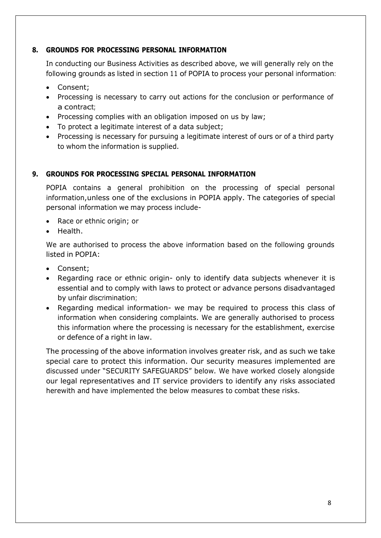#### <span id="page-8-0"></span>**8. GROUNDS FOR PROCESSING PERSONAL INFORMATION**

In conducting our Business Activities as described above, we will generally rely on the following grounds as listed in section <sup>11</sup> of POPIA to process your personal information:

- Consent;
- Processing is necessary to carry out actions for the conclusion or performance of a contract;
- Processing complies with an obligation imposed on us by law;
- To protect a legitimate interest of a data subject;
- Processing is necessary for pursuing a legitimate interest of ours or of a third party to whom the information is supplied.

### <span id="page-8-1"></span>**9. GROUNDS FOR PROCESSING SPECIAL PERSONAL INFORMATION**

POPIA contains a general prohibition on the processing of special personal information,unless one of the exclusions in POPIA apply. The categories of special personal information we may process include-

- Race or ethnic origin; or
- Health.

We are authorised to process the above information based on the following grounds listed in POPIA:

- Consent;
- Regarding race or ethnic origin- only to identify data subjects whenever it is essential and to comply with laws to protect or advance persons disadvantaged by unfair discrimination;
- Regarding medical information- we may be required to process this class of information when considering complaints. We are generally authorised to process this information where the processing is necessary for the establishment, exercise or defence of a right in law.

The processing of the above information involves greater risk, and as such we take special care to protect this information. Our security measures implemented are discussed under "SECURITY SAFEGUARDS" below. We have worked closely alongside our legal representatives and IT service providers to identify any risks associated herewith and have implemented the below measures to combat these risks.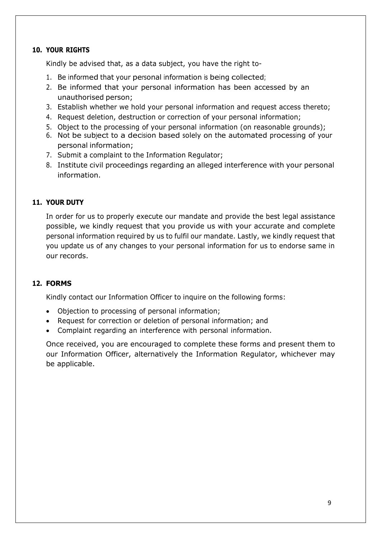#### <span id="page-9-0"></span>**10. YOUR RIGHTS**

Kindly be advised that, as a data subject, you have the right to-

- 1. Be informed that your personal information is being collected;
- 2. Be informed that your personal information has been accessed by an unauthorised person;
- 3. Establish whether we hold your personal information and request access thereto;
- 4. Request deletion, destruction or correction of your personal information;
- 5. Object to the processing of your personal information (on reasonable grounds);
- 6. Not be subject to a decision based solely on the automated processing of your personal information;
- 7. Submit a complaint to the Information Regulator;
- 8. Institute civil proceedings regarding an alleged interference with your personal information.

#### <span id="page-9-1"></span>**11. YOUR DUTY**

In order for us to properly execute our mandate and provide the best legal assistance possible, we kindly request that you provide us with your accurate and complete personal information required by us to fulfil our mandate. Lastly, we kindly request that you update us of any changes to your personal information for us to endorse same in our records.

#### <span id="page-9-2"></span>**12. FORMS**

Kindly contact our Information Officer to inquire on the following forms:

- Objection to processing of personal information;
- Request for correction or deletion of personal information; and
- Complaint regarding an interference with personal information.

Once received, you are encouraged to complete these forms and present them to our Information Officer, alternatively the Information Regulator, whichever may be applicable.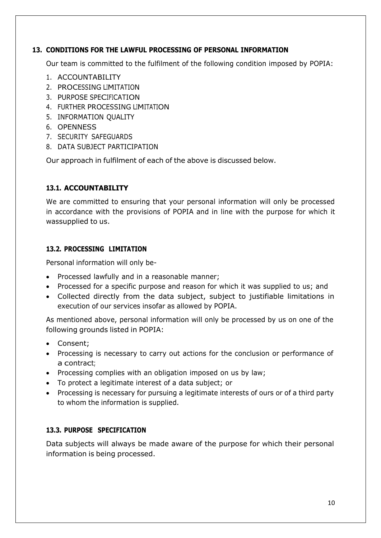### <span id="page-10-0"></span>**13. CONDITIONS FOR THE LAWFUL PROCESSING OF PERSONAL INFORMATION**

Our team is committed to the fulfilment of the following condition imposed by POPIA:

- 1. ACCOUNTABILITY
- 2. PROCESSING LIMITATION
- 3. PURPOSE SPECIFICATION
- 4. FURTHER PROCESSING LIMITATION
- 5. INFORMATION QUALITY
- 6. OPENNESS
- 7. SECURITY SAFEGUARDS
- 8. DATA SUBJECT PARTICIPATION

Our approach in fulfilment of each of the above is discussed below.

### <span id="page-10-1"></span>**13.1. ACCOUNTABILITY**

We are committed to ensuring that your personal information will only be processed in accordance with the provisions of POPIA and in line with the purpose for which it wassupplied to us.

### <span id="page-10-2"></span>**13.2. PROCESSING LIMITATION**

Personal information will only be-

- Processed lawfully and in a reasonable manner;
- Processed for a specific purpose and reason for which it was supplied to us; and
- Collected directly from the data subject, subject to justifiable limitations in execution of our services insofar as allowed by POPIA.

As mentioned above, personal information will only be processed by us on one of the following grounds listed in POPIA:

- Consent;
- Processing is necessary to carry out actions for the conclusion or performance of a contract;
- Processing complies with an obligation imposed on us by law;
- To protect a legitimate interest of a data subject; or
- Processing is necessary for pursuing a legitimate interests of ours or of a third party to whom the information is supplied.

### <span id="page-10-3"></span>**13.3. PURPOSE SPECIFICATION**

Data subjects will always be made aware of the purpose for which their personal information is being processed.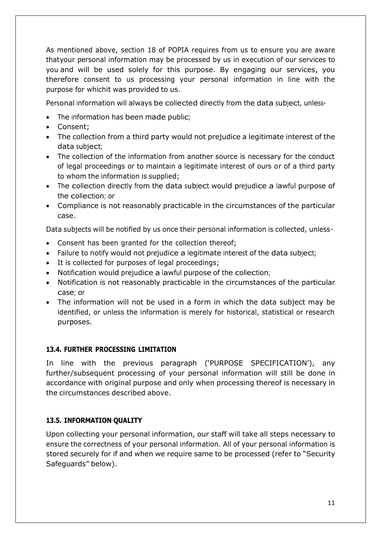As mentioned above, section 18 of POPIA requires from us to ensure you are aware thatyour personal information may be processed by us in execution of our services to you and will be used solely for this purpose. By engaging our services, you therefore consent to us processing your personal information in line with the purpose for whichit was provided to us.

Personal information will always be collected directly from the data subject, unless-

- The information has been made public;
- Consent;
- The collection from a third party would not prejudice a legitimate interest of the data subject;
- The collection of the information from another source is necessary for the conduct of legal proceedings or to maintain a legitimate interest of ours or of a third party to whom the information is supplied;
- The collection directly from the data subject would prejudice a lawful purpose of the collection; or
- Compliance is not reasonably practicable in the circumstances of the particular case.

Data subjects will be notified by us once their personal information is collected, unless-

- Consent has been granted for the collection thereof;
- Failure to notify would not prejudice a legitimate interest of the data subject;
- It is collected for purposes of legal proceedings;
- Notification would prejudice a lawful purpose of the collection;
- Notification is not reasonably practicable in the circumstances of the particular case; or
- The information will not be used in a form in which the data subject may be identified, or unless the information is merely for historical, statistical or research purposes.

### <span id="page-11-0"></span>**13.4. FURTHER PROCESSING LIMITATION**

In line with the previous paragraph ('PURPOSE SPECIFICATION'), any further/subsequent processing of your personal information will still be done in accordance with original purpose and only when processing thereof is necessary in the circumstances described above.

# <span id="page-11-1"></span>**13.5. INFORMATION QUALITY**

Upon collecting your personal information, our staff will take all steps necessary to ensure the correctness of your personal information. All of your personal information is stored securely for if and when we require same to be processed (refer to "Security Safeguards" below).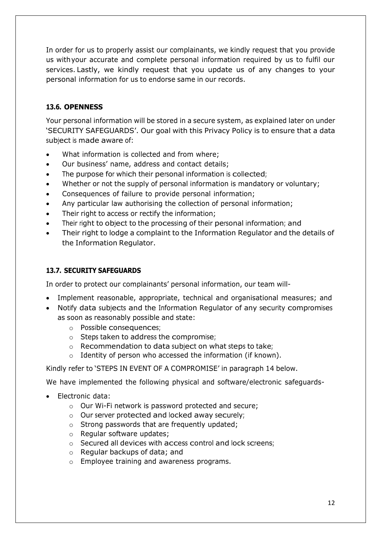In order for us to properly assist our complainants, we kindly request that you provide us withyour accurate and complete personal information required by us to fulfil our services. Lastly, we kindly request that you update us of any changes to your personal information for us to endorse same in our records.

# <span id="page-12-0"></span>**13.6. OPENNESS**

Your personal information will be stored in a secure system, as explained later on under 'SECURITY SAFEGUARDS'. Our goal with this Privacy Policy is to ensure that a data subject is made aware of:

- What information is collected and from where;
- Our business' name, address and contact details;
- The purpose for which their personal information is collected;
- Whether or not the supply of personal information is mandatory or voluntary;
- Consequences of failure to provide personal information;
- Any particular law authorising the collection of personal information;
- Their right to access or rectify the information;
- Their right to object to the processing of their personal information; and
- Their right to lodge a complaint to the Information Regulator and the details of the Information Regulator.

# <span id="page-12-1"></span>**13.7. SECURITY SAFEGUARDS**

In order to protect our complainants' personal information, our team will-

- Implement reasonable, appropriate, technical and organisational measures; and
- Notify data subjects and the Information Regulator of any security compromises as soon as reasonably possible and state:
	- o Possible consequences;
	- o Steps taken to address the compromise;
	- o Recommendation to data subject on what steps to take;
	- o Identity of person who accessed the information (if known).

Kindly refer to 'STEPS IN EVENT OF A COMPROMISE' in paragraph 14 below.

We have implemented the following physical and software/electronic safeguards-

- Electronic data:
	- o Our Wi-Fi network is password protected and secure;
	- o Our server protected and locked away securely;
	- o Strong passwords that are frequently updated;
	- o Regular software updates;
	- o Secured all devices with access control and lock screens;
	- o Regular backups of data; and
	- o Employee training and awareness programs.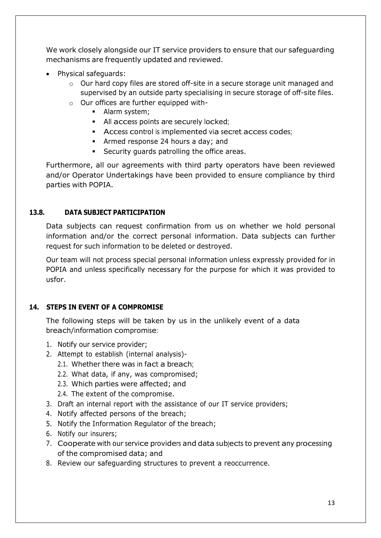We work closely alongside our IT service providers to ensure that our safeguarding mechanisms are frequently updated and reviewed.

- Physical safeguards:
	- $\circ$  Our hard copy files are stored off-site in a secure storage unit managed and supervised by an outside party specialising in secure storage of off-site files.
	- o Our offices are further equipped with-
		- Alarm system;
		- All access points are securely locked;
		- Access control is implemented via secret access codes;
		- Armed response 24 hours a day; and
		- Security guards patrolling the office areas.

Furthermore, all our agreements with third party operators have been reviewed and/or Operator Undertakings have been provided to ensure compliance by third parties with POPIA.

## <span id="page-13-0"></span>**13.8. DATA SUBJECT PARTICIPATION**

Data subjects can request confirmation from us on whether we hold personal information and/or the correct personal information. Data subjects can further request for such information to be deleted or destroyed.

Our team will not process special personal information unless expressly provided for in POPIA and unless specifically necessary for the purpose for which it was provided to usfor.

# <span id="page-13-1"></span>**14. STEPS IN EVENT OF A COMPROMISE**

The following steps will be taken by us in the unlikely event of a data breach/information compromise:

- 1. Notify our service provider;
- 2. Attempt to establish (internal analysis)-
	- 2.1. Whether there was in fact a breach;
	- 2.2. What data, if any, was compromised;
	- 2.3. Which parties were affected; and
	- 2.4. The extent of the compromise.
- 3. Draft an internal report with the assistance of our IT service providers;
- 4. Notify affected persons of the breach;
- 5. Notify the Information Regulator of the breach;
- 6. Notify our insurers;
- 7. Cooperate with our service providers and data subjects to prevent any processing of the compromised data; and
- 8. Review our safeguarding structures to prevent a reoccurrence.